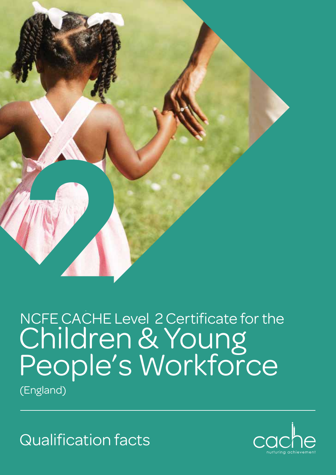

## NCFE CACHE Level 2 Certificate for the Children & Young People's Workforce

(England)

Qualification facts

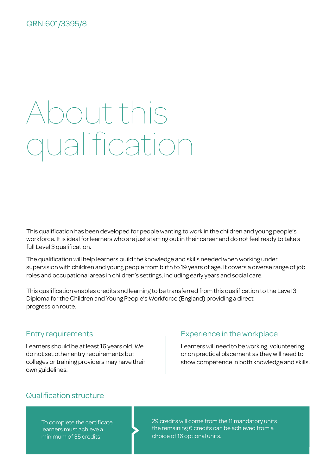#### QRN:601/3395/8

# About this qualification

This qualification has been developed for people wanting to work in the children and young people's workforce. It is ideal for learners who are just starting out in their career and do not feel ready to take a full Level 3 qualification.

The qualification will help learners build the knowledge and skills needed when working under supervision with children and young people from birth to 19 years of age. It covers a diverse range of job roles and occupational areas in children's settings, including early years and social care.

This qualification enables credits and learning to be transferred from this qualification to the Level 3 Diploma for the Children and Young People's Workforce (England) providing a direct progression route.

#### Entry requirements

Learners should be at least 16 years old. We do not set other entry requirements but colleges or training providers may have their own guidelines.

### Experience in the workplace

Learners will need to be working, volunteering or on practical placement as they will need to show competence in both knowledge and skills.

### Qualification structure

To complete the certificate learners must achieve a minimum of 35 credits.

29 credits will come from the 11 mandatory units the remaining 6 credits can be achieved from a choice of 16 optional units.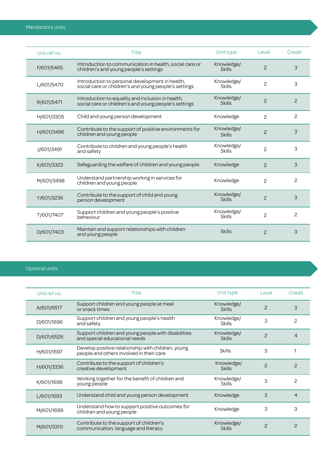| Unit ref no. | Title                                                                                                      | Unit type                   | Level          | Credit         |
|--------------|------------------------------------------------------------------------------------------------------------|-----------------------------|----------------|----------------|
| F/601/5465   | Introduction to communication in health, social care or<br>children's and young people's settings          | Knowledge/<br><b>Skills</b> | $\overline{c}$ | 3              |
| L/601/5470   | Introduction to personal development in health,<br>social care or children's and young people's settings   | Knowledge/<br><b>Skills</b> | 2              | 3              |
| R/601/5471   | Introduction to equality and inclusion in health,<br>social care or children's and young people's settings | Knowledge/<br><b>Skills</b> | $\overline{c}$ | $\overline{c}$ |
| H/601/3305   | Child and young person development                                                                         | Knowledge                   | 2              | $\overline{c}$ |
| H/601/3496   | Contribute to the support of positive environments for<br>children and young people                        | Knowledge/<br><b>Skills</b> | $\mathcal{P}$  | 3              |
| J/601/3491   | Contribute to children and young people's health<br>and safety                                             | Knowledge/<br><b>Skills</b> | 2              | 3              |
| K/601/3323   | Safeguarding the welfare of children and young people                                                      | Knowledge                   | $\mathcal{P}$  | 3              |
| M/601/3498   | Understand partnership working in services for<br>children and young people                                | Knowledge                   | 2              | 2              |
| Y/601/3236   | Contribute to the support of child and young<br>person development                                         | Knowledge/<br><b>Skills</b> | $\overline{c}$ | 3              |
| T/601/7407   | Support children and young people's positive<br>behaviour                                                  | Knowledge/<br><b>Skills</b> | 2              | 2              |
| D/601/7403   | Maintain and support relationships with children<br>and young people                                       | <b>Skills</b>               | $\mathcal{P}$  | 3              |

#### Optional units

| Unit ref no. | <b>Title</b>                                                                                   | Unit type                   | Level         | Credit         |
|--------------|------------------------------------------------------------------------------------------------|-----------------------------|---------------|----------------|
| A/601/6517   | Support children and young people at meal<br>or snack times                                    | Knowledge/<br><b>Skills</b> | $\mathcal{P}$ | 3              |
| D/601/1696   | Support children and young people's health<br>and safety                                       | Knowledge/<br><b>Skills</b> | 3             | 2              |
| D/601/6526   | Support children and young people with disabilities<br>and special educational needs           | Knowledge/<br><b>Skills</b> | $\mathcal{P}$ | $\overline{4}$ |
| H/601/1697   | Develop positive relationship with children, young<br>people and others involved in their care | <b>Skills</b>               | 3             |                |
| H/601/3336   | Contribute to the support of children's<br>creative development                                | Knowledge/<br><b>Skills</b> | $\mathcal{P}$ | $\overline{c}$ |
| K/601/1698   | Working together for the benefit of children and<br>young people                               | Knowledge/<br><b>Skills</b> | 3             | 2              |
| L/601/1693   | Understand child and young person development                                                  | Knowledge                   | 3             | 4              |
| M/601/1699   | Understand how to support positive outcomes for<br>children and young people                   | Knowledge                   | 3             | 3              |
| M/601/3310   | Contribute to the support of children's<br>communication, language and literacy                | Knowledge/<br><b>Skills</b> | $\mathcal{P}$ | $\mathcal{P}$  |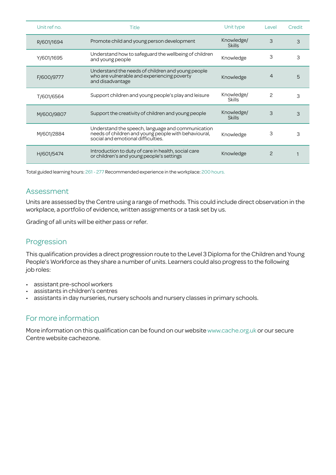| Unit ref no. | Title                                                                                                                                           | Unit type                   | Level         | Credit |
|--------------|-------------------------------------------------------------------------------------------------------------------------------------------------|-----------------------------|---------------|--------|
| R/601/1694   | Promote child and young person development                                                                                                      | Knowledge/<br><b>Skills</b> | 3             | 3      |
| Y/601/1695   | Understand how to safeguard the wellbeing of children<br>and young people                                                                       | Knowledge                   | 3             | 3      |
| F/600/9777   | Understand the needs of children and young people<br>who are vulnerable and experiencing poverty<br>and disadvantage                            | Knowledge                   | 4             | 5      |
| T/601/6564   | Support children and young people's play and leisure                                                                                            | Knowledge/<br><b>Skills</b> | $\mathcal{P}$ | 3      |
| M/600/9807   | Support the creativity of children and young people                                                                                             | Knowledge/<br><b>Skills</b> | 3             | 3      |
| M/601/2884   | Understand the speech, language and communication<br>needs of children and young people with behavioural,<br>social and emotional difficulties. | Knowledge                   | З             | З      |
| H/601/5474   | Introduction to duty of care in health, social care<br>or children's and young people's settings                                                | Knowledge                   | 2             |        |

Total guided learning hours: 261 - 277 Recommended experience in the workplace: 200 hours.

#### Assessment

Units are assessed by the Centre using a range of methods. This could include direct observation in the workplace, a portfolio of evidence, written assignments or a task set by us.

Grading of all units will be either pass or refer.

### Progression

This qualification provides a direct progression route to the Level 3 Diploma for the Children and Young People's Workforce as they share a number of units. Learners could also progress to the following job roles:

- assistant pre-school workers
- assistants in children's centres
- assistants in day nurseries, nursery schools and nursery classes in primary schools.

### For more information

More information on this qualification can be found on our website www.cache.org.uk or our secure Centre website cachezone.